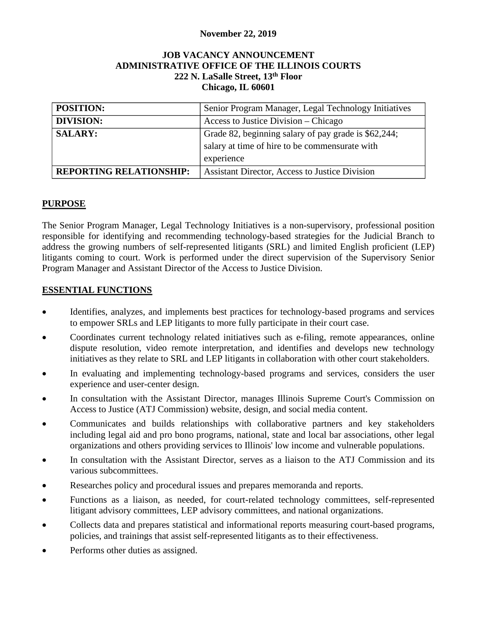### **November 22, 2019**

#### **JOB VACANCY ANNOUNCEMENT ADMINISTRATIVE OFFICE OF THE ILLINOIS COURTS 222 N. LaSalle Street, 13th Floor Chicago, IL 60601**

| <b>POSITION:</b>               | Senior Program Manager, Legal Technology Initiatives |
|--------------------------------|------------------------------------------------------|
| <b>DIVISION:</b>               | Access to Justice Division – Chicago                 |
| <b>SALARY:</b>                 | Grade 82, beginning salary of pay grade is \$62,244; |
|                                | salary at time of hire to be commensurate with       |
|                                | experience                                           |
| <b>REPORTING RELATIONSHIP:</b> | Assistant Director, Access to Justice Division       |

#### **PURPOSE**

 The Senior Program Manager, Legal Technology Initiatives is a non-supervisory, professional position address the growing numbers of self-represented litigants (SRL) and limited English proficient (LEP) responsible for identifying and recommending technology-based strategies for the Judicial Branch to litigants coming to court. Work is performed under the direct supervision of the Supervisory Senior Program Manager and Assistant Director of the Access to Justice Division.

#### **ESSENTIAL FUNCTIONS**

- to empower SRLs and LEP litigants to more fully participate in their court case. • Identifies, analyzes, and implements best practices for technology-based programs and services
- • Coordinates current technology related initiatives such as e-filing, remote appearances, online dispute resolution, video remote interpretation, and identifies and develops new technology initiatives as they relate to SRL and LEP litigants in collaboration with other court stakeholders.
- In evaluating and implementing technology-based programs and services, considers the user experience and user-center design.
- In consultation with the Assistant Director, manages Illinois Supreme Court's Commission on Access to Justice (ATJ Commission) website, design, and social media content.
- Communicates and builds relationships with collaborative partners and key stakeholders including legal aid and pro bono programs, national, state and local bar associations, other legal organizations and others providing services to Illinois' low income and vulnerable populations.
- In consultation with the Assistant Director, serves as a liaison to the ATJ Commission and its various subcommittees.
- Researches policy and procedural issues and prepares memoranda and reports.
- Functions as a liaison, as needed, for court-related technology committees, self-represented litigant advisory committees, LEP advisory committees, and national organizations.
- Collects data and prepares statistical and informational reports measuring court-based programs, policies, and trainings that assist self-represented litigants as to their effectiveness.
- Performs other duties as assigned.